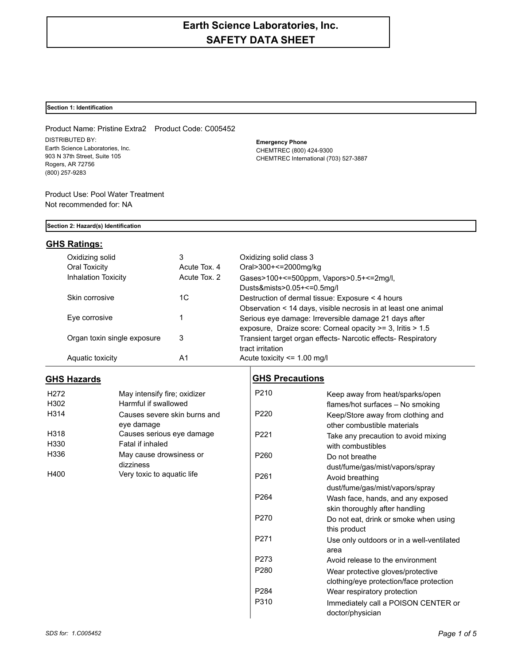# **Earth Science Laboratories, Inc. SAFETY DATA SHEET**

### **Section 1: Identification**

Product Name: Pristine Extra2 Product Code: C005452 DISTRIBUTED BY: Earth Science Laboratories, Inc. 903 N 37th Street, Suite 105 Rogers, AR 72756 (800) 257-9283

**Emergency Phone** CHEMTREC (800) 424-9300 CHEMTREC International (703) 527-3887

Product Use: Pool Water Treatment Not recommended for: NA

### **Section 2: Hazard(s) Identification**

## **GHS Ratings:**

| Oxidizing solid             | 3            | Oxidizing solid class 3                                        |
|-----------------------------|--------------|----------------------------------------------------------------|
| Oral Toxicity               | Acute Tox, 4 | Oral>300+<=2000mg/kg                                           |
| <b>Inhalation Toxicity</b>  | Acute Tox, 2 | Gases>100+<=500ppm, Vapors>0.5+<=2mg/l,                        |
|                             |              | Dusts&mists>0.05+<=0.5mg/l                                     |
| Skin corrosive              | 1C           | Destruction of dermal tissue: Exposure < 4 hours               |
|                             |              | Observation < 14 days, visible necrosis in at least one animal |
| Eye corrosive               |              | Serious eye damage: Irreversible damage 21 days after          |
|                             |              | exposure, Draize score: Corneal opacity >= 3, Iritis > 1.5     |
| Organ toxin single exposure | 3            | Transient target organ effects- Narcotic effects- Respiratory  |
|                             |              | tract irritation                                               |
| Aquatic toxicity            | A1           | Acute toxicity $\leq$ 1.00 mg/l                                |

# **GHS Hazards**

| May intensify fire; oxidizer |  |  |
|------------------------------|--|--|
| Harmful if swallowed         |  |  |
| Causes severe skin burns and |  |  |
| eye damage                   |  |  |
| Causes serious eye damage    |  |  |
| Fatal if inhaled             |  |  |
| May cause drowsiness or      |  |  |
| dizziness                    |  |  |
| Very toxic to aquatic life   |  |  |
|                              |  |  |

# **GHS Precautions**

| P <sub>210</sub> | Keep away from heat/sparks/open<br>flames/hot surfaces - No smoking |
|------------------|---------------------------------------------------------------------|
| P <sub>220</sub> | Keep/Store away from clothing and<br>other combustible materials    |
| P <sub>221</sub> | Take any precaution to avoid mixing<br>with combustibles            |
| P <sub>260</sub> | Do not breathe                                                      |
|                  | dust/fume/gas/mist/vapors/spray                                     |
| P <sub>261</sub> | Avoid breathing                                                     |
|                  | dust/fume/gas/mist/vapors/spray                                     |
| P264             | Wash face, hands, and any exposed                                   |
|                  | skin thoroughly after handling                                      |
| P <sub>270</sub> | Do not eat, drink or smoke when using<br>this product               |
| P <sub>271</sub> | Use only outdoors or in a well-ventilated<br>area                   |
| P273             | Avoid release to the environment                                    |
| P280             | Wear protective gloves/protective                                   |
|                  | clothing/eye protection/face protection                             |
| P284             | Wear respiratory protection                                         |
| P310             | Immediately call a POISON CENTER or<br>doctor/physician             |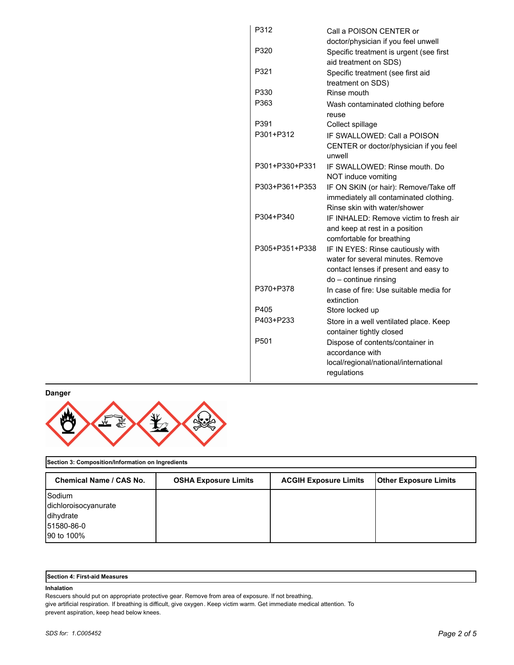| P312             | Call a POISON CENTER or                             |  |  |
|------------------|-----------------------------------------------------|--|--|
|                  | doctor/physician if you feel unwell                 |  |  |
| P320             | Specific treatment is urgent (see first             |  |  |
|                  | aid treatment on SDS)                               |  |  |
| P321             | Specific treatment (see first aid                   |  |  |
|                  | treatment on SDS)                                   |  |  |
| P330             | Rinse mouth                                         |  |  |
| P363             | Wash contaminated clothing before                   |  |  |
|                  | reuse                                               |  |  |
| P391             | Collect spillage                                    |  |  |
| P301+P312        | IF SWALLOWED: Call a POISON                         |  |  |
|                  | CENTER or doctor/physician if you feel<br>unwell    |  |  |
| P301+P330+P331   | IF SWALLOWED: Rinse mouth, Do                       |  |  |
|                  | NOT induce vomiting                                 |  |  |
| P303+P361+P353   | IF ON SKIN (or hair): Remove/Take off               |  |  |
|                  | immediately all contaminated clothing.              |  |  |
|                  | Rinse skin with water/shower                        |  |  |
| P304+P340        | IF INHALED: Remove victim to fresh air              |  |  |
|                  | and keep at rest in a position                      |  |  |
|                  | comfortable for breathing                           |  |  |
| P305+P351+P338   | IF IN EYES: Rinse cautiously with                   |  |  |
|                  | water for several minutes. Remove                   |  |  |
|                  | contact lenses if present and easy to               |  |  |
| P370+P378        | do - continue rinsing                               |  |  |
|                  | In case of fire: Use suitable media for             |  |  |
| P405             | extinction                                          |  |  |
| P403+P233        | Store locked up                                     |  |  |
|                  | Store in a well ventilated place. Keep              |  |  |
| P <sub>501</sub> | container tightly closed                            |  |  |
|                  | Dispose of contents/container in<br>accordance with |  |  |
|                  | local/regional/national/international               |  |  |
|                  | regulations                                         |  |  |
|                  |                                                     |  |  |

**Danger**



## **Section 3: Composition/Information on Ingredients**

| <b>Chemical Name / CAS No.</b> | <b>OSHA Exposure Limits</b> | <b>ACGIH Exposure Limits</b> | <b>Other Exposure Limits</b> |
|--------------------------------|-----------------------------|------------------------------|------------------------------|
| Sodium                         |                             |                              |                              |
| dichloroisocyanurate           |                             |                              |                              |
| dihydrate                      |                             |                              |                              |
| 51580-86-0                     |                             |                              |                              |
| 90 to 100%                     |                             |                              |                              |

| <b>Section 4: First-aid Measures</b> |  |
|--------------------------------------|--|
|--------------------------------------|--|

### **Inhalation**

Rescuers should put on appropriate protective gear. Remove from area of exposure. If not breathing,

give artificial respiration. If breathing is difficult, give oxygen. Keep victim warm. Get immediate medical attention. To prevent aspiration, keep head below knees.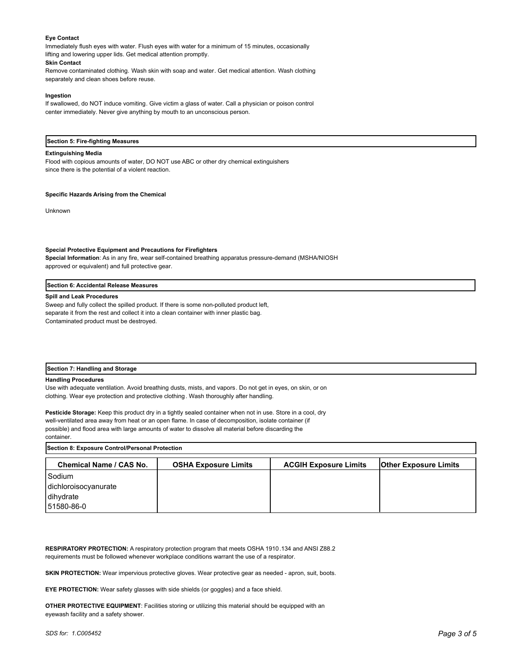### **Eye Contact**

Immediately flush eyes with water. Flush eyes with water for a minimum of 15 minutes, occasionally lifting and lowering upper lids. Get medical attention promptly.

### **Skin Contact**

Remove contaminated clothing. Wash skin with soap and water. Get medical attention. Wash clothing separately and clean shoes before reuse.

### **Ingestion**

If swallowed, do NOT induce vomiting. Give victim a glass of water. Call a physician or poison control center immediately. Never give anything by mouth to an unconscious person.

#### **Section 5: Fire-fighting Measures**

#### **Extinguishing Media**

Flood with copious amounts of water, DO NOT use ABC or other dry chemical extinguishers since there is the potential of a violent reaction.

### **Specific Hazards Arising from the Chemical**

Unknown

#### **Special Protective Equipment and Precautions for Firefighters**

**Special Information**: As in any fire, wear self-contained breathing apparatus pressure-demand (MSHA/NIOSH approved or equivalent) and full protective gear.

#### **Section 6: Accidental Release Measures**

#### **Spill and Leak Procedures**

Sweep and fully collect the spilled product. If there is some non-polluted product left, separate it from the rest and collect it into a clean container with inner plastic bag. Contaminated product must be destroyed.

### **Section 7: Handling and Storage**

#### **Handling Procedures**

Use with adequate ventilation. Avoid breathing dusts, mists, and vapors. Do not get in eyes, on skin, or on clothing. Wear eye protection and protective clothing. Wash thoroughly after handling.

**Pesticide Storage:** Keep this product dry in a tightly sealed container when not in use. Store in a cool, dry well-ventilated area away from heat or an open flame. In case of decomposition, isolate container (if possible) and flood area with large amounts of water to dissolve all material before discarding the container.

| Section 8: Exposure Control/Personal Protection |                             |                              |                              |  |  |
|-------------------------------------------------|-----------------------------|------------------------------|------------------------------|--|--|
| Chemical Name / CAS No.                         | <b>OSHA Exposure Limits</b> | <b>ACGIH Exposure Limits</b> | <b>Other Exposure Limits</b> |  |  |
| Sodium                                          |                             |                              |                              |  |  |
| dichloroisocyanurate                            |                             |                              |                              |  |  |
| dihydrate                                       |                             |                              |                              |  |  |
| 51580-86-0                                      |                             |                              |                              |  |  |

**RESPIRATORY PROTECTION:** A respiratory protection program that meets OSHA 1910.134 and ANSI Z88.2 requirements must be followed whenever workplace conditions warrant the use of a respirator.

**SKIN PROTECTION:** Wear impervious protective gloves. Wear protective gear as needed - apron, suit, boots.

**EYE PROTECTION:** Wear safety glasses with side shields (or goggles) and a face shield.

**OTHER PROTECTIVE EQUIPMENT**: Facilities storing or utilizing this material should be equipped with an eyewash facility and a safety shower.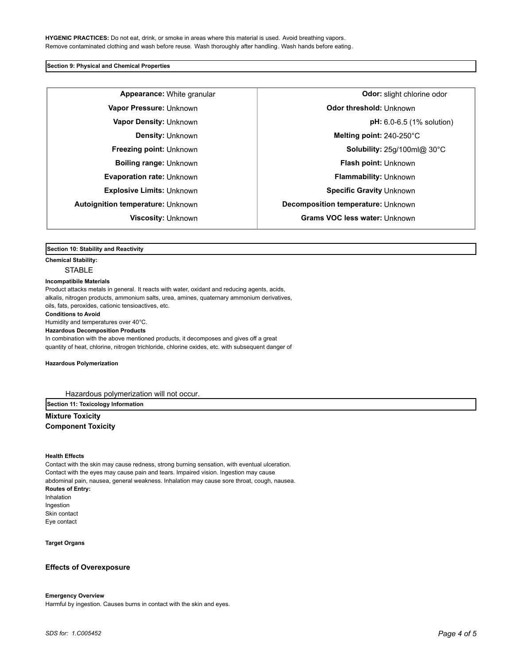### **Section 9: Physical and Chemical Properties**

**Autoignition temperature:** Unknown **Decomposition temperature:** Unknown

**Appearance:** White granular **Constanting in the set of the September of Constantine odor: slight chlorine odor Vapor Pressure:** Unknown **CODO CONSTRESS (VIDEO) Odor threshold:** Unknown **Vapor Density:** Unknown **pH:** 6.0-6.5 (1% solution) **Density:** Unknown **Melting point:** 240-250°C **Freezing point:** Unknown **Solubility:** 25g/100ml@ 30°C **Boiling range:** Unknown **Flash point:** Unknown **Evaporation rate:** Unknown **Flammability:** Unknown **Explosive Limits: Unknown <b>Specific Gravity** Unknown **Specific Gravity** Unknown **Viscosity:** Unknown **Grams VOC less water:** Unknown

### **Section 10: Stability and Reactivity**

**Chemical Stability:**

**STABLE** 

### **Incompatibile Materials**

Product attacks metals in general. It reacts with water, oxidant and reducing agents, acids, alkalis, nitrogen products, ammonium salts, urea, amines, quaternary ammonium derivatives, oils, fats, peroxides, cationic tensioactives, etc. **Conditions to Avoid** Humidity and temperatures over 40°C. **Hazardous Decomposition Products** In combination with the above mentioned products, it decomposes and gives off a great quantity of heat, chlorine, nitrogen trichloride, chlorine oxides, etc. with subsequent danger of

#### **Hazardous Polymerization**

Hazardous polymerization will not occur.

**Section 11: Toxicology Information**

**Mixture Toxicity Component Toxicity**

#### **Health Effects**

Contact with the skin may cause redness, strong burning sensation, with eventual ulceration. Contact with the eyes may cause pain and tears. Impaired vision. Ingestion may cause abdominal pain, nausea, general weakness. Inhalation may cause sore throat, cough, nausea. **Routes of Entry:** Inhalation Ingestion Skin contact Eye contact

**Target Organs**

### **Effects of Overexposure**

### **Emergency Overview**

Harmful by ingestion. Causes burns in contact with the skin and eyes.